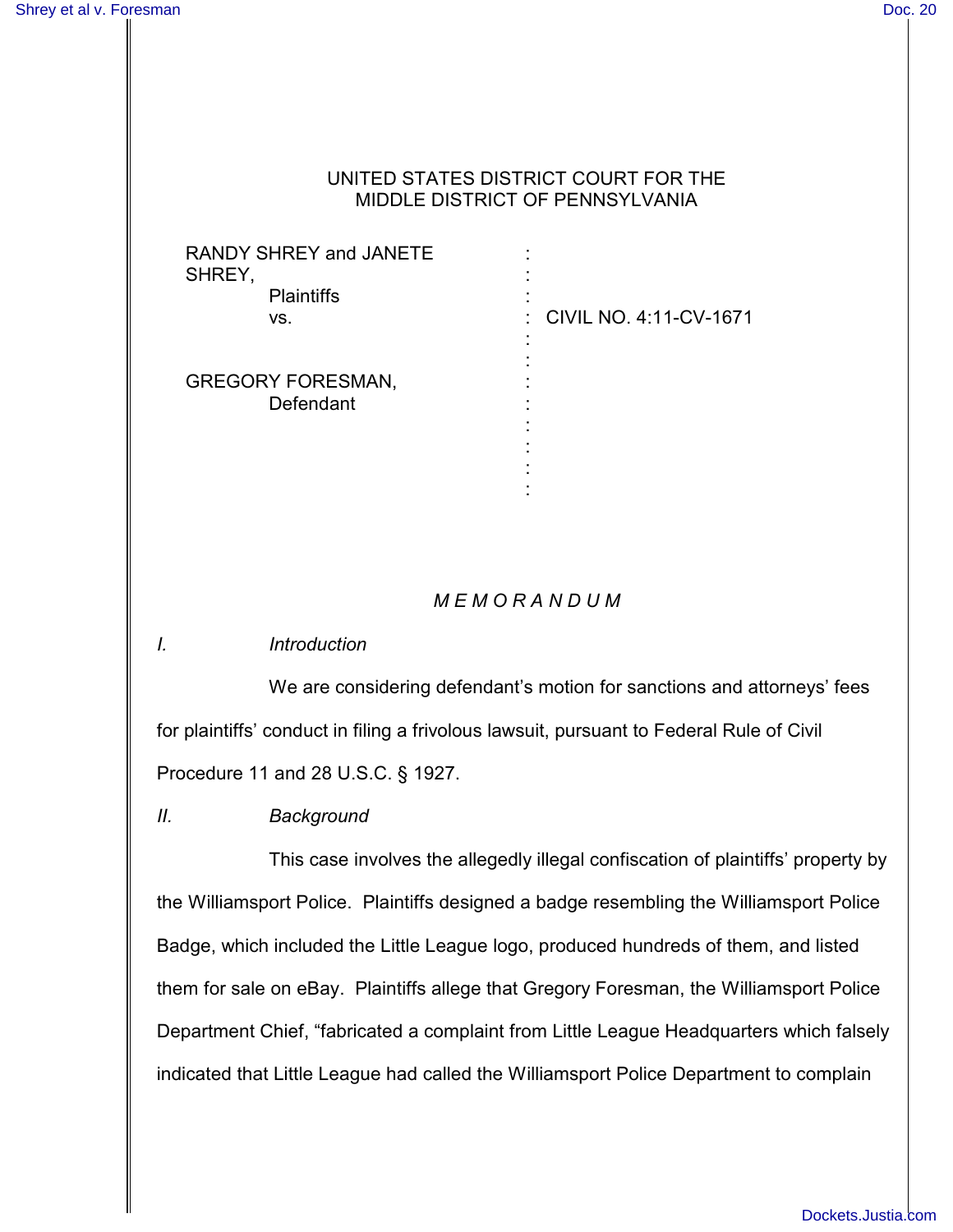#### UNITED STATES DISTRICT COURT FOR THE MIDDLE DISTRICT OF PENNSYLVANIA

| <b>RANDY SHREY and JANETE</b><br>SHREY, |                          |
|-----------------------------------------|--------------------------|
| <b>Plaintiffs</b><br>VS.                | : CIVIL NO. 4:11-CV-1671 |
| <b>GREGORY FORESMAN,</b><br>Defendant   |                          |

## *M E M O R A N D U M*

:

*I. Introduction*

We are considering defendant's motion for sanctions and attorneys' fees for plaintiffs' conduct in filing a frivolous lawsuit, pursuant to Federal Rule of Civil Procedure 11 and 28 U.S.C. § 1927.

*II. Background*

This case involves the allegedly illegal confiscation of plaintiffs' property by the Williamsport Police. Plaintiffs designed a badge resembling the Williamsport Police Badge, which included the Little League logo, produced hundreds of them, and listed them for sale on eBay. Plaintiffs allege that Gregory Foresman, the Williamsport Police Department Chief, "fabricated a complaint from Little League Headquarters which falsely indicated that Little League had called the Williamsport Police Department to complain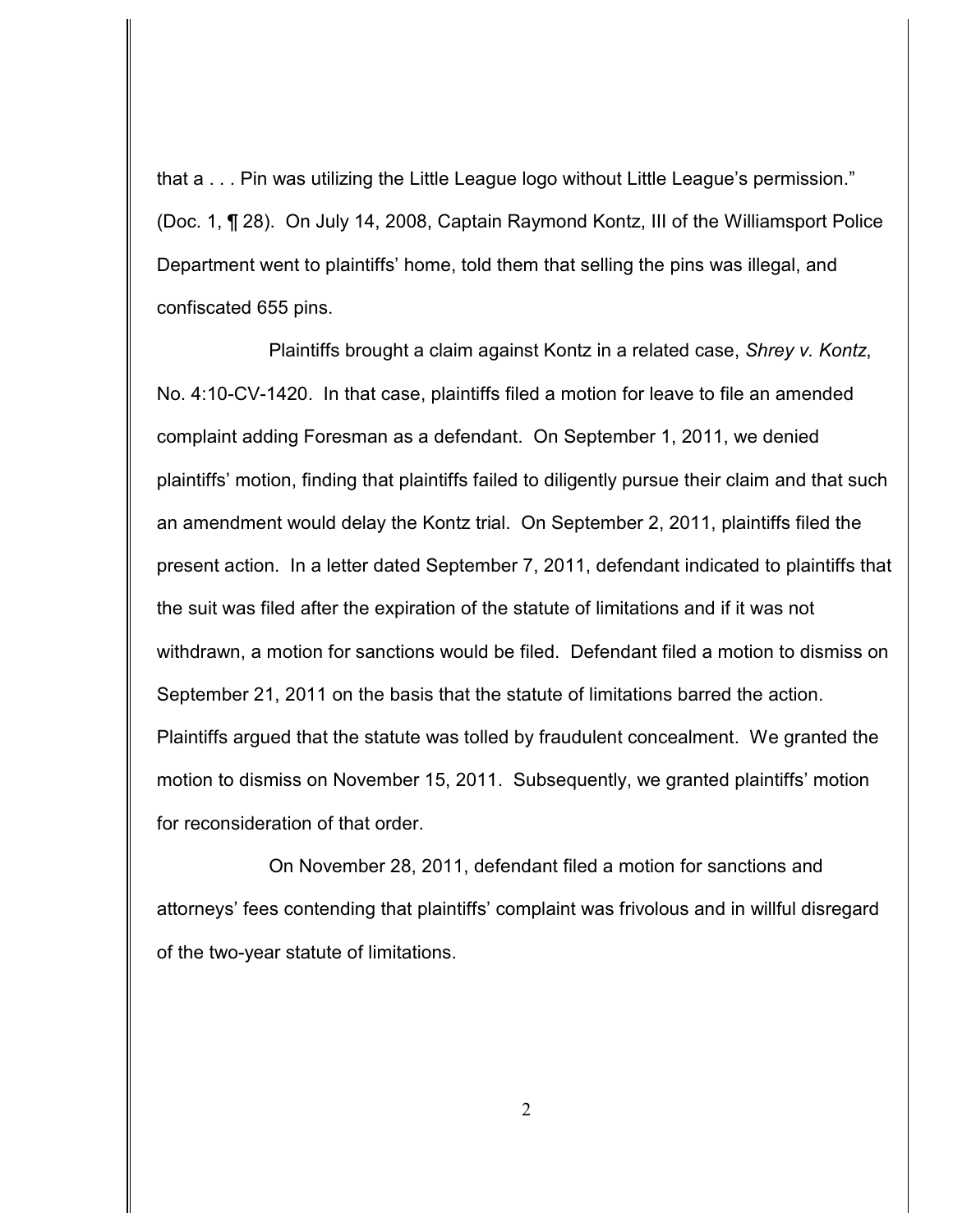that a . . . Pin was utilizing the Little League logo without Little League's permission." (Doc. 1, ¶ 28). On July 14, 2008, Captain Raymond Kontz, III of the Williamsport Police Department went to plaintiffs' home, told them that selling the pins was illegal, and confiscated 655 pins.

Plaintiffs brought a claim against Kontz in a related case, *Shrey v. Kontz*, No. 4:10-CV-1420. In that case, plaintiffs filed a motion for leave to file an amended complaint adding Foresman as a defendant. On September 1, 2011, we denied plaintiffs' motion, finding that plaintiffs failed to diligently pursue their claim and that such an amendment would delay the Kontz trial. On September 2, 2011, plaintiffs filed the present action. In a letter dated September 7, 2011, defendant indicated to plaintiffs that the suit was filed after the expiration of the statute of limitations and if it was not withdrawn, a motion for sanctions would be filed. Defendant filed a motion to dismiss on September 21, 2011 on the basis that the statute of limitations barred the action. Plaintiffs argued that the statute was tolled by fraudulent concealment. We granted the motion to dismiss on November 15, 2011. Subsequently, we granted plaintiffs' motion for reconsideration of that order.

On November 28, 2011, defendant filed a motion for sanctions and attorneys' fees contending that plaintiffs' complaint was frivolous and in willful disregard of the two-year statute of limitations.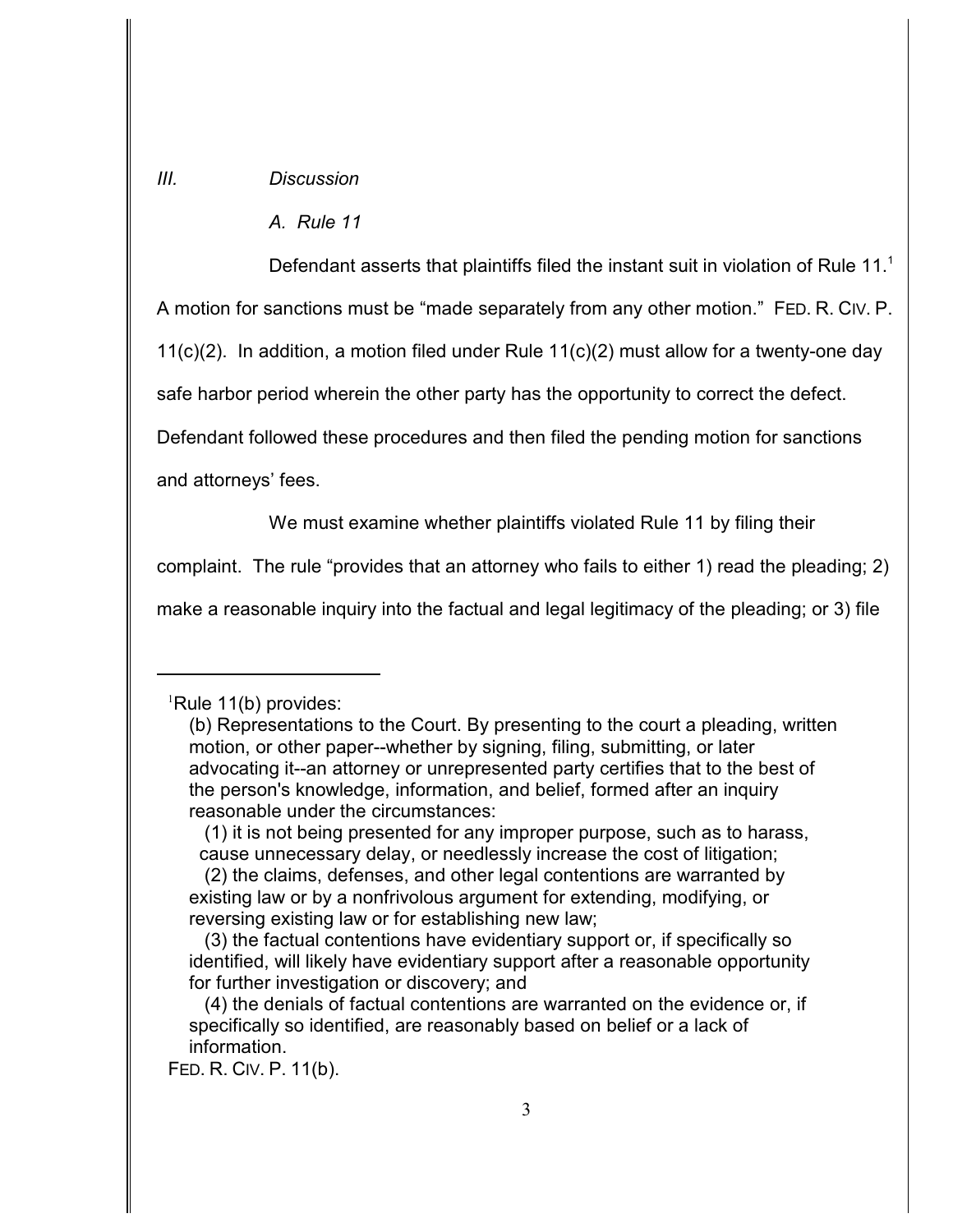#### *III. Discussion*

*A. Rule 11*

Defendant asserts that plaintiffs filed the instant suit in violation of Rule 11.<sup>1</sup>

A motion for sanctions must be "made separately from any other motion." FED. R. CIV. P.

11(c)(2). In addition, a motion filed under Rule  $11(c)(2)$  must allow for a twenty-one day

safe harbor period wherein the other party has the opportunity to correct the defect.

Defendant followed these procedures and then filed the pending motion for sanctions

and attorneys' fees.

We must examine whether plaintiffs violated Rule 11 by filing their

complaint. The rule "provides that an attorney who fails to either 1) read the pleading; 2)

make a reasonable inquiry into the factual and legal legitimacy of the pleading; or 3) file

 ${}^{1}$ Rule 11(b) provides:

<sup>(</sup>b) Representations to the Court. By presenting to the court a pleading, written motion, or other paper--whether by signing, filing, submitting, or later advocating it--an attorney or unrepresented party certifies that to the best of the person's knowledge, information, and belief, formed after an inquiry reasonable under the circumstances:

 <sup>(1)</sup> it is not being presented for any improper purpose, such as to harass, cause unnecessary delay, or needlessly increase the cost of litigation;

 <sup>(2)</sup> the claims, defenses, and other legal contentions are warranted by existing law or by a nonfrivolous argument for extending, modifying, or reversing existing law or for establishing new law;

 <sup>(3)</sup> the factual contentions have evidentiary support or, if specifically so identified, will likely have evidentiary support after a reasonable opportunity for further investigation or discovery; and

 <sup>(4)</sup> the denials of factual contentions are warranted on the evidence or, if specifically so identified, are reasonably based on belief or a lack of information.

FED. R. CIV. P. 11(b).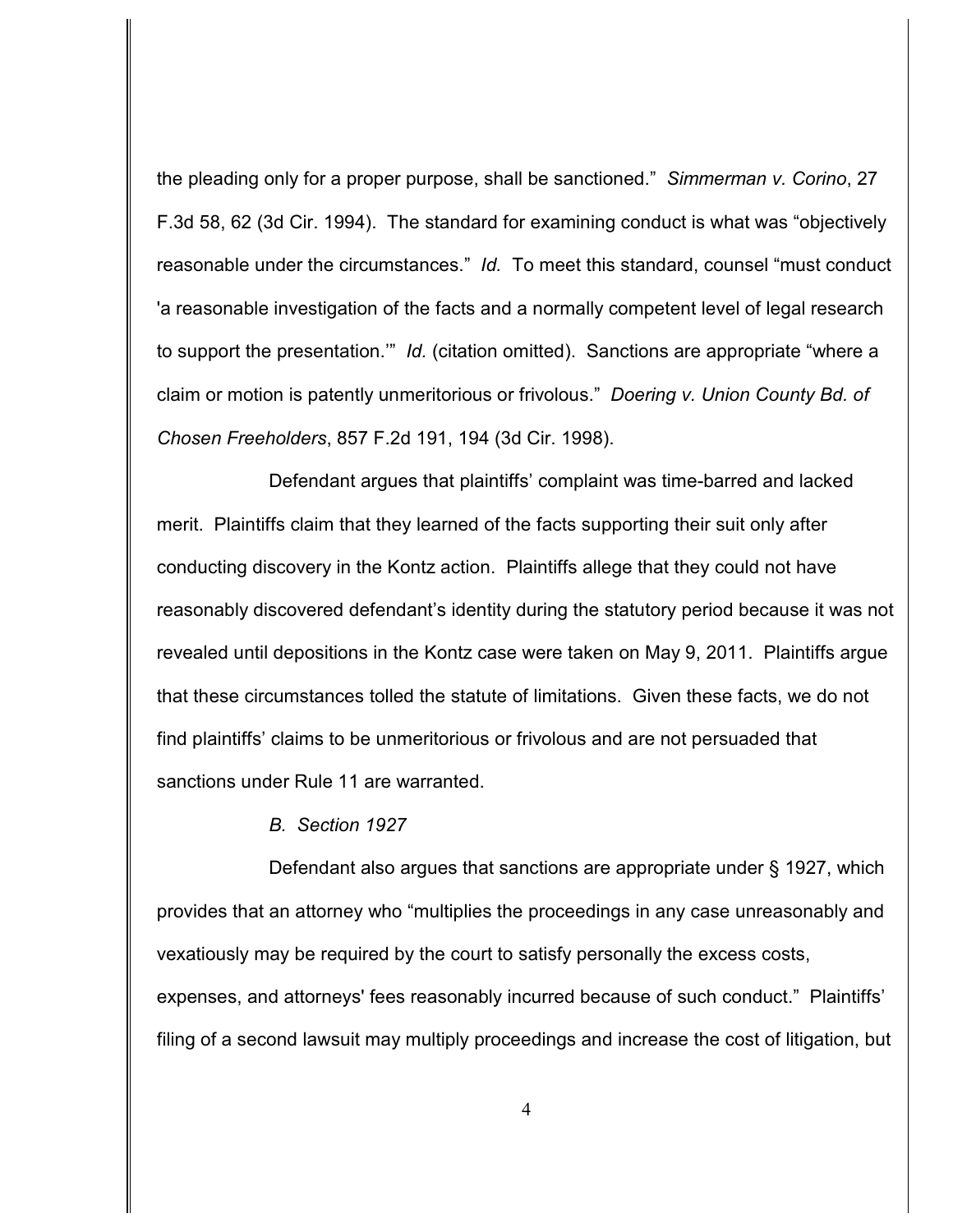the pleading only for a proper purpose, shall be sanctioned." *Simmerman v. Corino*, 27 F.3d 58, 62 (3d Cir. 1994). The standard for examining conduct is what was "objectively reasonable under the circumstances." *Id.* To meet this standard, counsel "must conduct 'a reasonable investigation of the facts and a normally competent level of legal research to support the presentation.'" *Id.* (citation omitted). Sanctions are appropriate "where a claim or motion is patently unmeritorious or frivolous." *Doering v. Union County Bd. of Chosen Freeholders*, 857 F.2d 191, 194 (3d Cir. 1998).

Defendant argues that plaintiffs' complaint was time-barred and lacked merit. Plaintiffs claim that they learned of the facts supporting their suit only after conducting discovery in the Kontz action. Plaintiffs allege that they could not have reasonably discovered defendant's identity during the statutory period because it was not revealed until depositions in the Kontz case were taken on May 9, 2011. Plaintiffs argue that these circumstances tolled the statute of limitations. Given these facts, we do not find plaintiffs' claims to be unmeritorious or frivolous and are not persuaded that sanctions under Rule 11 are warranted.

*B. Section 1927*

Defendant also argues that sanctions are appropriate under § 1927, which provides that an attorney who "multiplies the proceedings in any case unreasonably and vexatiously may be required by the court to satisfy personally the excess costs, expenses, and attorneys' fees reasonably incurred because of such conduct." Plaintiffs' filing of a second lawsuit may multiply proceedings and increase the cost of litigation, but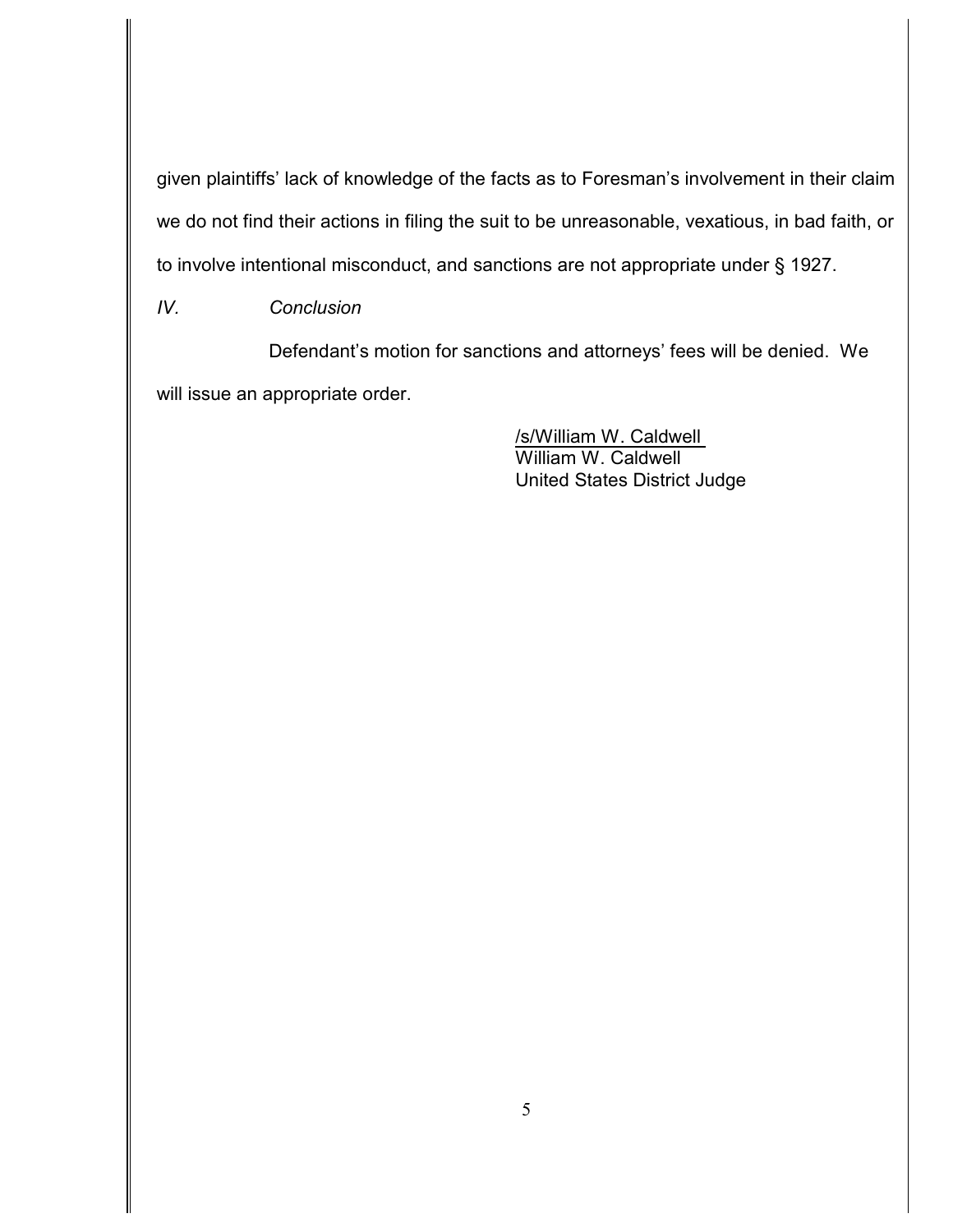given plaintiffs' lack of knowledge of the facts as to Foresman's involvement in their claim we do not find their actions in filing the suit to be unreasonable, vexatious, in bad faith, or to involve intentional misconduct, and sanctions are not appropriate under § 1927.

*IV. Conclusion*

Defendant's motion for sanctions and attorneys' fees will be denied. We will issue an appropriate order.

> /s/William W. Caldwell William W. Caldwell United States District Judge